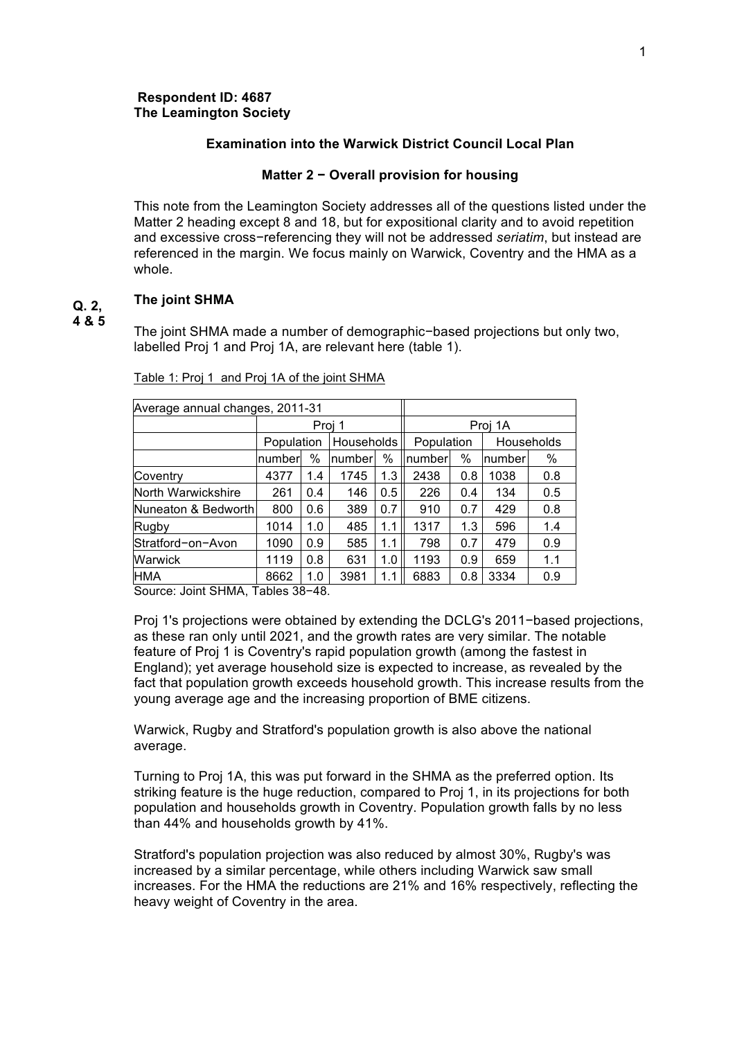### **Respondent ID: 4687 The Leamington Society**

### **Examination into the Warwick District Council Local Plan**

### **Matter 2 − Overall provision for housing**

This note from the Leamington Society addresses all of the questions listed under the Matter 2 heading except 8 and 18, but for expositional clarity and to avoid repetition and excessive cross−referencing they will not be addressed *seriatim*, but instead are referenced in the margin. We focus mainly on Warwick, Coventry and the HMA as a whole.

#### **The joint SHMA Q. 2,**

**4 & 5**

The joint SHMA made a number of demographic−based projections but only two, labelled Proj 1 and Proj 1A, are relevant here (table 1).

| Average annual changes, 2011-31 |         |            |        |                       |     |                   |     |
|---------------------------------|---------|------------|--------|-----------------------|-----|-------------------|-----|
| Proj 1                          |         |            |        | Proj 1A               |     |                   |     |
|                                 |         |            |        | Population            |     | <b>Households</b> |     |
| number                          | %       |            | $\%$   | number                | %   | number            | %   |
| 4377                            | 1.4     | 1745       | 1.3    | 2438                  | 0.8 | 1038              | 0.8 |
| 261                             | 0.4     | 146        | 0.5    | 226                   | 0.4 | 134               | 0.5 |
| Nuneaton & Bedworth<br>800      | 0.6     | 389        | 0.7    | 910                   | 0.7 | 429               | 0.8 |
| 1014                            | 1.0     | 485        | 1.1    | 1317                  | 1.3 | 596               | 1.4 |
| 1090                            | 0.9     | 585        | 1.1    | 798                   | 0.7 | 479               | 0.9 |
| 1119                            | 0.8     | 631        | 1.0    | 1193                  | 0.9 | 659               | 1.1 |
| 8662                            | 1.0     | 3981       | 1.1    | 6883                  | 0.8 | 3334              | 0.9 |
|                                 | — II AA | Population | $\sim$ | Households<br> number |     |                   |     |

Table 1: Proj 1 and Proj 1A of the joint SHMA

Source: Joint SHMA, Tables 38−48.

Proj 1's projections were obtained by extending the DCLG's 2011−based projections, as these ran only until 2021, and the growth rates are very similar. The notable feature of Proj 1 is Coventry's rapid population growth (among the fastest in England); yet average household size is expected to increase, as revealed by the fact that population growth exceeds household growth. This increase results from the young average age and the increasing proportion of BME citizens.

Warwick, Rugby and Stratford's population growth is also above the national average.

Turning to Proj 1A, this was put forward in the SHMA as the preferred option. Its striking feature is the huge reduction, compared to Proj 1, in its projections for both population and households growth in Coventry. Population growth falls by no less than 44% and households growth by 41%.

Stratford's population projection was also reduced by almost 30%, Rugby's was increased by a similar percentage, while others including Warwick saw small increases. For the HMA the reductions are 21% and 16% respectively, reflecting the heavy weight of Coventry in the area.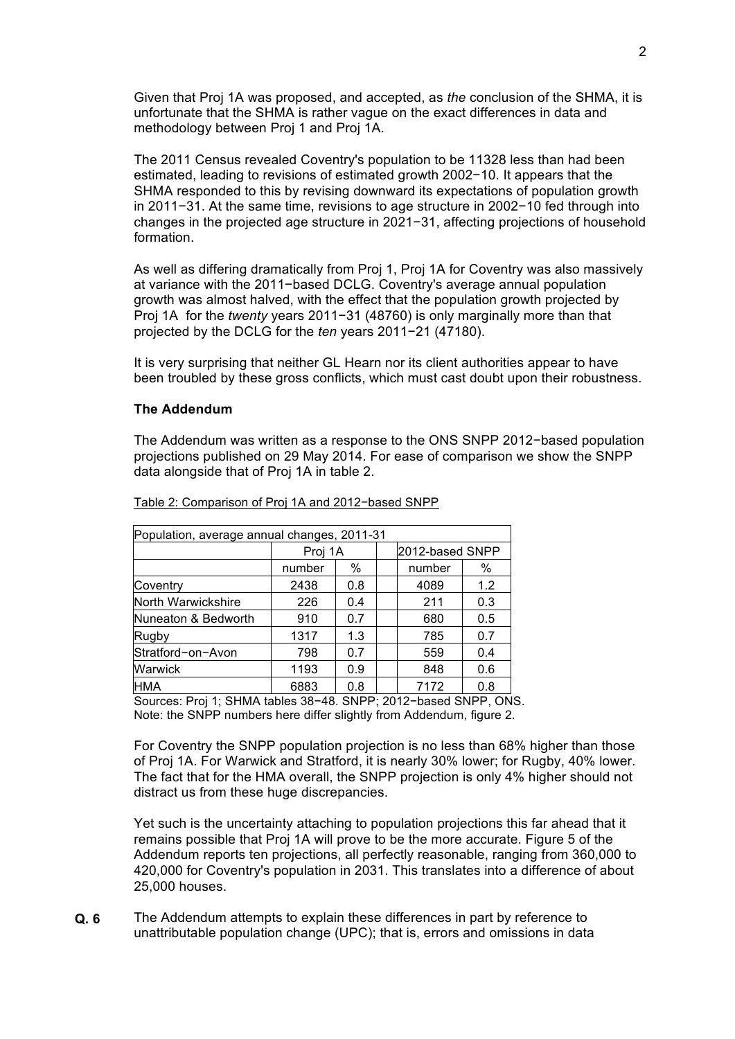Given that Proj 1A was proposed, and accepted, as *the* conclusion of the SHMA, it is unfortunate that the SHMA is rather vague on the exact differences in data and methodology between Proj 1 and Proj 1A.

The 2011 Census revealed Coventry's population to be 11328 less than had been estimated, leading to revisions of estimated growth 2002−10. It appears that the SHMA responded to this by revising downward its expectations of population growth in 2011−31. At the same time, revisions to age structure in 2002−10 fed through into changes in the projected age structure in 2021−31, affecting projections of household formation.

As well as differing dramatically from Proj 1, Proj 1A for Coventry was also massively at variance with the 2011−based DCLG. Coventry's average annual population growth was almost halved, with the effect that the population growth projected by Proj 1A for the *twenty* years 2011−31 (48760) is only marginally more than that projected by the DCLG for the *ten* years 2011−21 (47180).

It is very surprising that neither GL Hearn nor its client authorities appear to have been troubled by these gross conflicts, which must cast doubt upon their robustness.

### **The Addendum**

The Addendum was written as a response to the ONS SNPP 2012−based population projections published on 29 May 2014. For ease of comparison we show the SNPP data alongside that of Proj 1A in table 2.

| Population, average annual changes, 2011-31 |                            |     |  |        |     |  |
|---------------------------------------------|----------------------------|-----|--|--------|-----|--|
|                                             | 2012-based SNPP<br>Proi 1A |     |  |        |     |  |
|                                             | number                     | %   |  | number | %   |  |
| Coventry                                    | 2438                       | 0.8 |  | 4089   | 1.2 |  |
| North Warwickshire                          | 226                        | 0.4 |  | 211    | 0.3 |  |
| Nuneaton & Bedworth                         | 910                        | 0.7 |  | 680    | 0.5 |  |
| Rugby                                       | 1317                       | 1.3 |  | 785    | 0.7 |  |
| Stratford-on-Avon                           | 798                        | 0.7 |  | 559    | 0.4 |  |
| Warwick                                     | 1193                       | 0.9 |  | 848    | 0.6 |  |
| HMA                                         | 6883                       | 0.8 |  | 7172   | 0.8 |  |

Table 2: Comparison of Proj 1A and 2012−based SNPP

Sources: Proj 1; SHMA tables 38−48. SNPP; 2012−based SNPP, ONS. Note: the SNPP numbers here differ slightly from Addendum, figure 2.

For Coventry the SNPP population projection is no less than 68% higher than those of Proj 1A. For Warwick and Stratford, it is nearly 30% lower; for Rugby, 40% lower. The fact that for the HMA overall, the SNPP projection is only 4% higher should not distract us from these huge discrepancies.

Yet such is the uncertainty attaching to population projections this far ahead that it remains possible that Proj 1A will prove to be the more accurate. Figure 5 of the Addendum reports ten projections, all perfectly reasonable, ranging from 360,000 to 420,000 for Coventry's population in 2031. This translates into a difference of about 25,000 houses.

The Addendum attempts to explain these differences in part by reference to unattributable population change (UPC); that is, errors and omissions in data **Q. 6**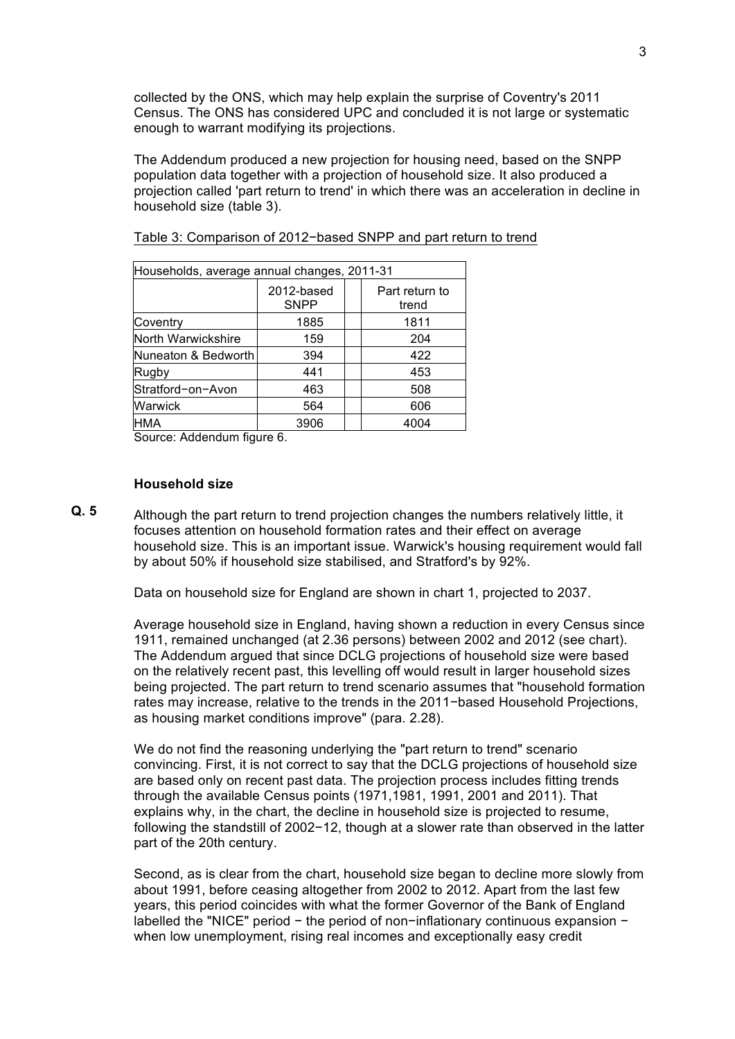collected by the ONS, which may help explain the surprise of Coventry's 2011 Census. The ONS has considered UPC and concluded it is not large or systematic enough to warrant modifying its projections.

The Addendum produced a new projection for housing need, based on the SNPP population data together with a projection of household size. It also produced a projection called 'part return to trend' in which there was an acceleration in decline in household size (table 3).

| Households, average annual changes, 2011-31 |                           |  |                         |  |  |  |
|---------------------------------------------|---------------------------|--|-------------------------|--|--|--|
|                                             | 2012-based<br><b>SNPP</b> |  | Part return to<br>trend |  |  |  |
| Coventry                                    | 1885                      |  | 1811                    |  |  |  |
| North Warwickshire                          | 159                       |  | 204                     |  |  |  |
| Nuneaton & Bedworth                         | 394                       |  | 422                     |  |  |  |
| Rugby                                       | 441                       |  | 453                     |  |  |  |
| Stratford-on-Avon                           | 463                       |  | 508                     |  |  |  |
| Warwick                                     | 564                       |  | 606                     |  |  |  |
| HMA                                         | 3906                      |  | 4004                    |  |  |  |

Table 3: Comparison of 2012−based SNPP and part return to trend

Source: Addendum figure 6.

### **Household size**

Although the part return to trend projection changes the numbers relatively little, it focuses attention on household formation rates and their effect on average household size. This is an important issue. Warwick's housing requirement would fall by about 50% if household size stabilised, and Stratford's by 92%. **Q. 5**

Data on household size for England are shown in chart 1, projected to 2037.

Average household size in England, having shown a reduction in every Census since 1911, remained unchanged (at 2.36 persons) between 2002 and 2012 (see chart). The Addendum argued that since DCLG projections of household size were based on the relatively recent past, this levelling off would result in larger household sizes being projected. The part return to trend scenario assumes that "household formation rates may increase, relative to the trends in the 2011−based Household Projections, as housing market conditions improve" (para. 2.28).

We do not find the reasoning underlying the "part return to trend" scenario convincing. First, it is not correct to say that the DCLG projections of household size are based only on recent past data. The projection process includes fitting trends through the available Census points (1971,1981, 1991, 2001 and 2011). That explains why, in the chart, the decline in household size is projected to resume, following the standstill of 2002−12, though at a slower rate than observed in the latter part of the 20th century.

Second, as is clear from the chart, household size began to decline more slowly from about 1991, before ceasing altogether from 2002 to 2012. Apart from the last few years, this period coincides with what the former Governor of the Bank of England labelled the "NICE" period − the period of non−inflationary continuous expansion − when low unemployment, rising real incomes and exceptionally easy credit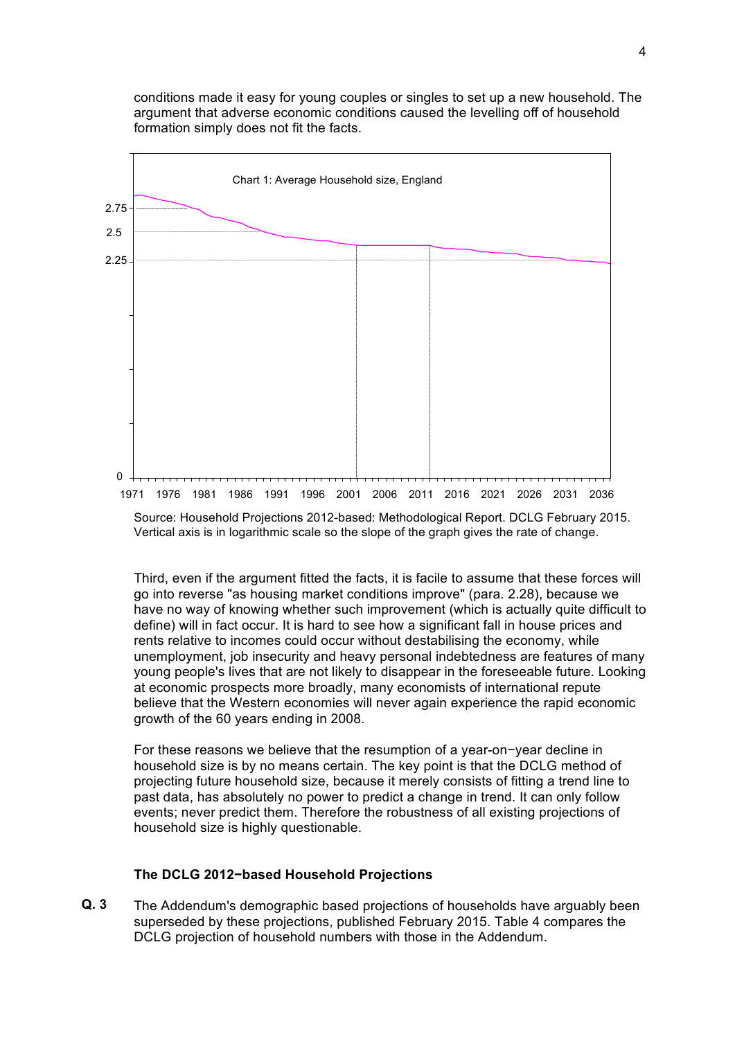conditions made it easy for young couples or singles to set up a new household. The argument that adverse economic conditions caused the levelling off of household formation simply does not fit the facts.



Source: Household Projections 2012-based: Methodological Report. DCLG February 2015. Vertical axis is in logarithmic scale so the slope of the graph gives the rate of change.

Third, even if the argument fitted the facts, it is facile to assume that these forces will go into reverse "as housing market conditions improve" (para. 2.28), because we have no way of knowing whether such improvement (which is actually quite difficult to define) will in fact occur. It is hard to see how a significant fall in house prices and rents relative to incomes could occur without destabilising the economy, while unemployment, job insecurity and heavy personal indebtedness are features of many young people's lives that are not likely to disappear in the foreseeable future. Looking at economic prospects more broadly, many economists of international repute believe that the Western economies will never again experience the rapid economic growth of the 60 years ending in 2008.

For these reasons we believe that the resumption of a year-on−year decline in household size is by no means certain. The key point is that the DCLG method of projecting future household size, because it merely consists of fitting a trend line to past data, has absolutely no power to predict a change in trend. It can only follow events; never predict them. Therefore the robustness of all existing projections of household size is highly questionable.

### **The DCLG 2012−based Household Projections**

The Addendum's demographic based projections of households have arguably been superseded by these projections, published February 2015. Table 4 compares the DCLG projection of household numbers with those in the Addendum. **Q. 3**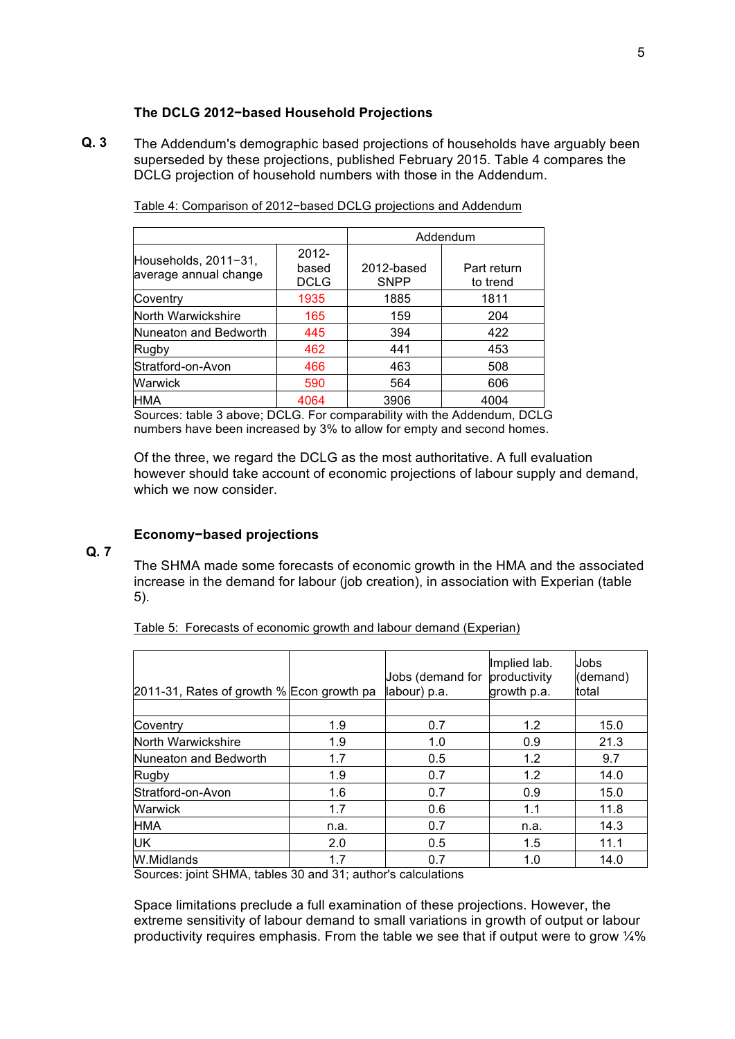# **The DCLG 2012−based Household Projections**

The Addendum's demographic based projections of households have arguably been superseded by these projections, published February 2015. Table 4 compares the DCLG projection of household numbers with those in the Addendum. **Q. 3**

|                                               |                           | Addendum                  |                         |  |  |
|-----------------------------------------------|---------------------------|---------------------------|-------------------------|--|--|
| Households, 2011-31,<br>average annual change | $2012 -$<br>based<br>DCLG | 2012-based<br><b>SNPP</b> | Part return<br>to trend |  |  |
| Coventry                                      | 1935                      | 1885                      | 1811                    |  |  |
| North Warwickshire                            | 165                       | 159                       | 204                     |  |  |
| Nuneaton and Bedworth                         | 445                       | 394                       | 422                     |  |  |
| Rugby                                         | 462                       | 441                       | 453                     |  |  |
| Stratford-on-Avon                             | 466                       | 463                       | 508                     |  |  |
| Warwick                                       | 590                       | 564                       | 606                     |  |  |
| HMA                                           | 4064                      | 3906                      | 4004                    |  |  |

Table 4: Comparison of 2012−based DCLG projections and Addendum

Sources: table 3 above; DCLG. For comparability with the Addendum, DCLG numbers have been increased by 3% to allow for empty and second homes.

Of the three, we regard the DCLG as the most authoritative. A full evaluation however should take account of economic projections of labour supply and demand, which we now consider.

## **Economy−based projections**

### **Q. 7**

The SHMA made some forecasts of economic growth in the HMA and the associated increase in the demand for labour (job creation), in association with Experian (table 5).

| Table 5: Forecasts of economic growth and labour demand (Experian) |  |  |  |  |
|--------------------------------------------------------------------|--|--|--|--|
|--------------------------------------------------------------------|--|--|--|--|

| 2011-31, Rates of growth % Econ growth pa |      | Jobs (demand for<br>labour) p.a. | Implied lab.<br>productivity<br>growth p.a. | Jobs<br>(demand)<br>total |
|-------------------------------------------|------|----------------------------------|---------------------------------------------|---------------------------|
|                                           |      |                                  |                                             |                           |
| Coventry                                  | 1.9  | 0.7                              | 1.2                                         | 15.0                      |
| North Warwickshire                        | 1.9  | 1.0                              | 0.9                                         | 21.3                      |
| Nuneaton and Bedworth                     | 1.7  | 0.5                              | 1.2                                         | 9.7                       |
| Rugby                                     | 1.9  | 0.7                              | 1.2                                         | 14.0                      |
| Stratford-on-Avon                         | 1.6  | 0.7                              | 0.9                                         | 15.0                      |
| Warwick                                   | 1.7  | 0.6                              | 1.1                                         | 11.8                      |
| <b>HMA</b>                                | n.a. | 0.7                              | n.a.                                        | 14.3                      |
| UK                                        | 2.0  | 0.5                              | 1.5                                         | 11.1                      |
| W.Midlands                                | 1.7  | 0.7                              | 1.0                                         | 14.0                      |

Sources: joint SHMA, tables 30 and 31; author's calculations

Space limitations preclude a full examination of these projections. However, the extreme sensitivity of labour demand to small variations in growth of output or labour productivity requires emphasis. From the table we see that if output were to grow ¼%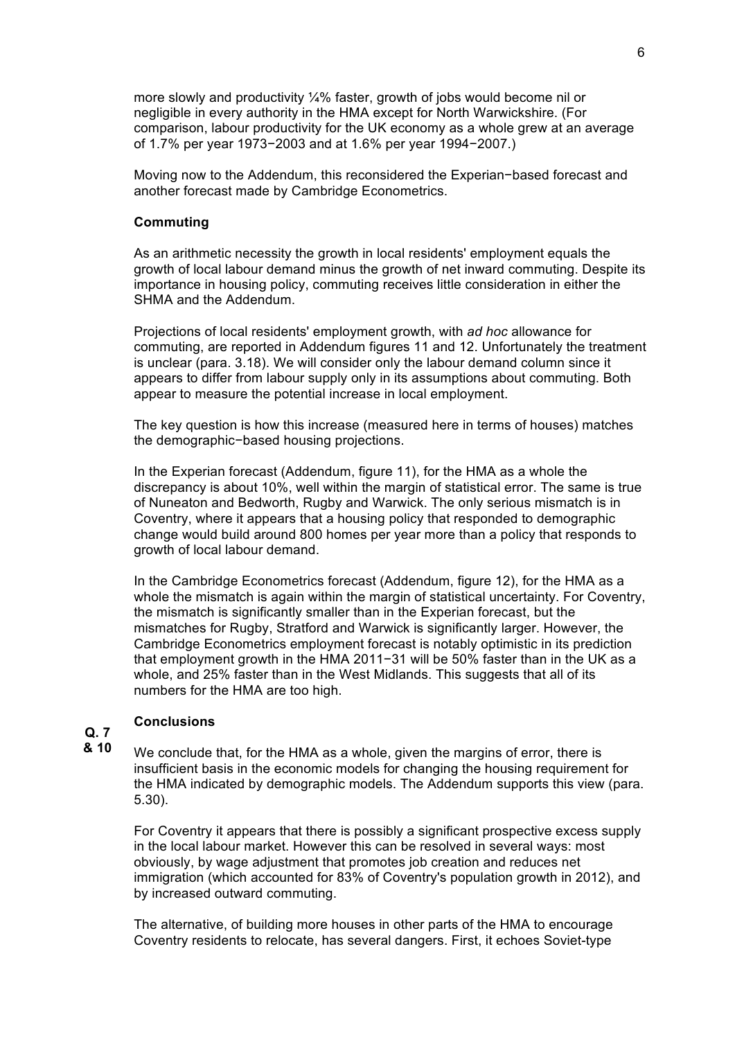more slowly and productivity ¼% faster, growth of jobs would become nil or negligible in every authority in the HMA except for North Warwickshire. (For comparison, labour productivity for the UK economy as a whole grew at an average of 1.7% per year 1973−2003 and at 1.6% per year 1994−2007.)

Moving now to the Addendum, this reconsidered the Experian−based forecast and another forecast made by Cambridge Econometrics.

### **Commuting**

As an arithmetic necessity the growth in local residents' employment equals the growth of local labour demand minus the growth of net inward commuting. Despite its importance in housing policy, commuting receives little consideration in either the SHMA and the Addendum.

Projections of local residents' employment growth, with *ad hoc* allowance for commuting, are reported in Addendum figures 11 and 12. Unfortunately the treatment is unclear (para. 3.18). We will consider only the labour demand column since it appears to differ from labour supply only in its assumptions about commuting. Both appear to measure the potential increase in local employment.

The key question is how this increase (measured here in terms of houses) matches the demographic−based housing projections.

In the Experian forecast (Addendum, figure 11), for the HMA as a whole the discrepancy is about 10%, well within the margin of statistical error. The same is true of Nuneaton and Bedworth, Rugby and Warwick. The only serious mismatch is in Coventry, where it appears that a housing policy that responded to demographic change would build around 800 homes per year more than a policy that responds to growth of local labour demand.

In the Cambridge Econometrics forecast (Addendum, figure 12), for the HMA as a whole the mismatch is again within the margin of statistical uncertainty. For Coventry, the mismatch is significantly smaller than in the Experian forecast, but the mismatches for Rugby, Stratford and Warwick is significantly larger. However, the Cambridge Econometrics employment forecast is notably optimistic in its prediction that employment growth in the HMA 2011−31 will be 50% faster than in the UK as a whole, and 25% faster than in the West Midlands. This suggests that all of its numbers for the HMA are too high.

### **Conclusions**

#### **Q. 7 & 10**

We conclude that, for the HMA as a whole, given the margins of error, there is insufficient basis in the economic models for changing the housing requirement for the HMA indicated by demographic models. The Addendum supports this view (para. 5.30).

For Coventry it appears that there is possibly a significant prospective excess supply in the local labour market. However this can be resolved in several ways: most obviously, by wage adjustment that promotes job creation and reduces net immigration (which accounted for 83% of Coventry's population growth in 2012), and by increased outward commuting.

The alternative, of building more houses in other parts of the HMA to encourage Coventry residents to relocate, has several dangers. First, it echoes Soviet-type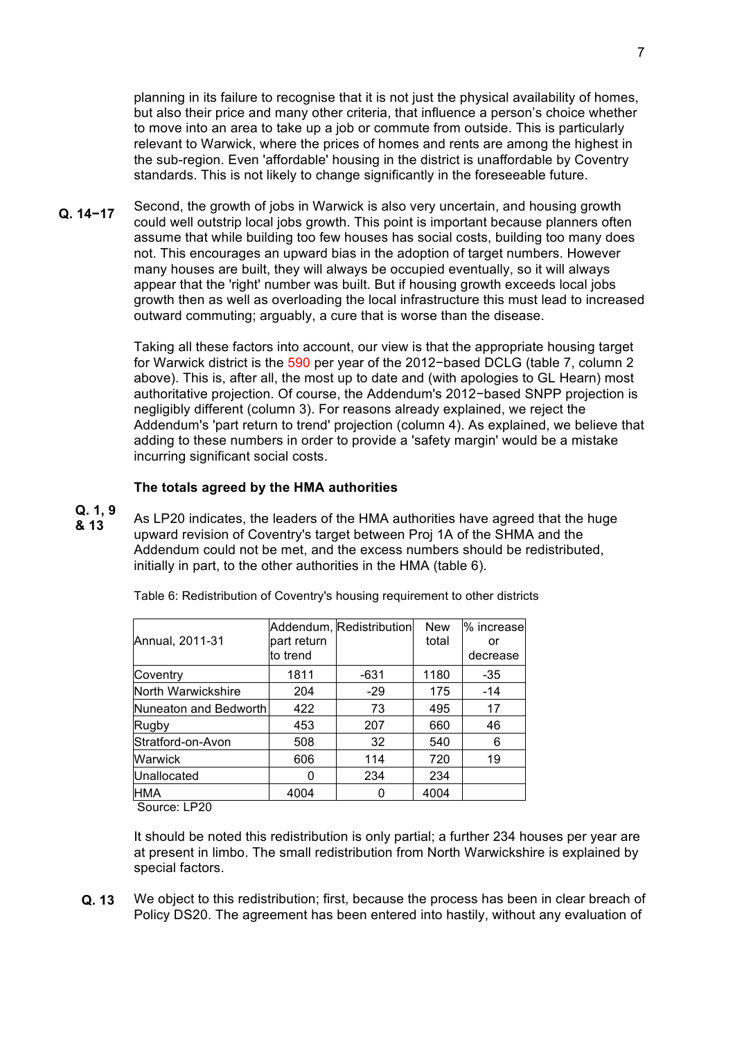planning in its failure to recognise that it is not just the physical availability of homes, but also their price and many other criteria, that influence a person's choice whether to move into an area to take up a job or commute from outside. This is particularly relevant to Warwick, where the prices of homes and rents are among the highest in the sub-region. Even 'affordable' housing in the district is unaffordable by Coventry standards. This is not likely to change significantly in the foreseeable future.

Second, the growth of jobs in Warwick is also very uncertain, and housing growth could well outstrip local jobs growth. This point is important because planners often assume that while building too few houses has social costs, building too many does not. This encourages an upward bias in the adoption of target numbers. However many houses are built, they will always be occupied eventually, so it will always appear that the 'right' number was built. But if housing growth exceeds local jobs growth then as well as overloading the local infrastructure this must lead to increased outward commuting; arguably, a cure that is worse than the disease. **Q. 14−17**

> Taking all these factors into account, our view is that the appropriate housing target for Warwick district is the 590 per year of the 2012−based DCLG (table 7, column 2 above). This is, after all, the most up to date and (with apologies to GL Hearn) most authoritative projection. Of course, the Addendum's 2012−based SNPP projection is negligibly different (column 3). For reasons already explained, we reject the Addendum's 'part return to trend' projection (column 4). As explained, we believe that adding to these numbers in order to provide a 'safety margin' would be a mistake incurring significant social costs.

### **The totals agreed by the HMA authorities**

As LP20 indicates, the leaders of the HMA authorities have agreed that the huge upward revision of Coventry's target between Proj 1A of the SHMA and the Addendum could not be met, and the excess numbers should be redistributed, initially in part, to the other authorities in the HMA (table 6). **Q. 1, 9 & 13**

|                       |             | Addendum, Redistribution | <b>New</b> | % increase |
|-----------------------|-------------|--------------------------|------------|------------|
| Annual, 2011-31       | part return |                          | total      | or         |
|                       | to trend    |                          |            | decrease   |
| Coventry              | 1811        | -631                     | 1180       | -35        |
| North Warwickshire    | 204         | $-29$                    | 175        | $-14$      |
| Nuneaton and Bedworth | 422         | 73                       | 495        | 17         |
| Rugby                 | 453         | 207                      | 660        | 46         |
| Stratford-on-Avon     | 508         | 32                       | 540        | 6          |
| Warwick               | 606         | 114                      | 720        | 19         |
| Unallocated           |             | 234                      | 234        |            |
| HMA                   | 4004        |                          | 4004       |            |

Table 6: Redistribution of Coventry's housing requirement to other districts

Source: LP20

It should be noted this redistribution is only partial; a further 234 houses per year are at present in limbo. The small redistribution from North Warwickshire is explained by special factors.

We object to this redistribution; first, because the process has been in clear breach of Policy DS20. The agreement has been entered into hastily, without any evaluation of **Q. 13**